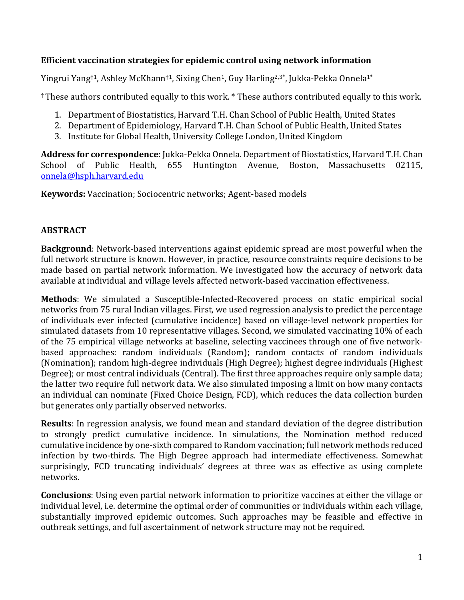### **Efficient vaccination strategies for epidemic control using network information**

Yingrui Yang<sup>†1</sup>, Ashley McKhann<sup>†1</sup>, Sixing Chen<sup>1</sup>, Guy Harling<sup>2,3\*</sup>, Jukka-Pekka Onnela<sup>1\*</sup>

<sup>†</sup> These authors contributed equally to this work. \* These authors contributed equally to this work.

- 1. Department of Biostatistics, Harvard T.H. Chan School of Public Health, United States
- 2. Department of Epidemiology, Harvard T.H. Chan School of Public Health, United States
- 3. Institute for Global Health, University College London, United Kingdom

Address for correspondence: Jukka-Pekka Onnela. Department of Biostatistics, Harvard T.H. Chan School of Public Health, 655 Huntington Avenue, Boston, Massachusetts 02115, onnela@hsph.harvard.edu

**Keywords:** Vaccination; Sociocentric networks; Agent-based models

### **ABSTRACT**

**Background**: Network-based interventions against epidemic spread are most powerful when the full network structure is known. However, in practice, resource constraints require decisions to be made based on partial network information. We investigated how the accuracy of network data available at individual and village levels affected network-based vaccination effectiveness.

**Methods**: We simulated a Susceptible-Infected-Recovered process on static empirical social networks from 75 rural Indian villages. First, we used regression analysis to predict the percentage of individuals ever infected (cumulative incidence) based on village-level network properties for simulated datasets from 10 representative villages. Second, we simulated vaccinating 10% of each of the 75 empirical village networks at baseline, selecting vaccinees through one of five networkbased approaches: random individuals (Random); random contacts of random individuals (Nomination); random high-degree individuals (High Degree); highest degree individuals (Highest Degree); or most central individuals (Central). The first three approaches require only sample data; the latter two require full network data. We also simulated imposing a limit on how many contacts an individual can nominate (Fixed Choice Design, FCD), which reduces the data collection burden but generates only partially observed networks.

**Results**: In regression analysis, we found mean and standard deviation of the degree distribution to strongly predict cumulative incidence. In simulations, the Nomination method reduced cumulative incidence by one-sixth compared to Random vaccination; full network methods reduced infection by two-thirds. The High Degree approach had intermediate effectiveness. Somewhat surprisingly, FCD truncating individuals' degrees at three was as effective as using complete networks. 

**Conclusions**: Using even partial network information to prioritize vaccines at either the village or individual level, i.e. determine the optimal order of communities or individuals within each village, substantially improved epidemic outcomes. Such approaches may be feasible and effective in outbreak settings, and full ascertainment of network structure may not be required.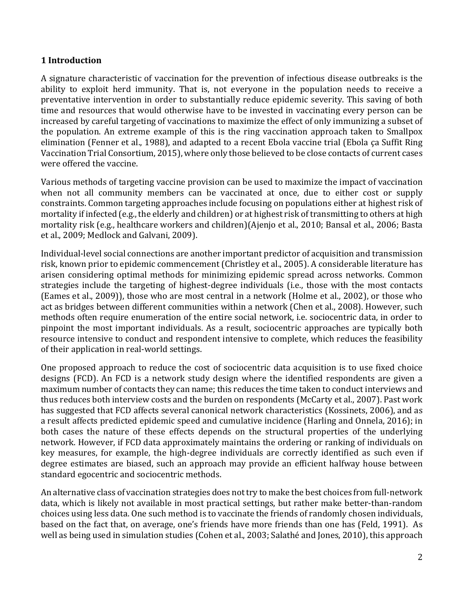### **1 Introduction**

A signature characteristic of vaccination for the prevention of infectious disease outbreaks is the ability to exploit herd immunity. That is, not everyone in the population needs to receive a preventative intervention in order to substantially reduce epidemic severity. This saving of both time and resources that would otherwise have to be invested in vaccinating every person can be increased by careful targeting of vaccinations to maximize the effect of only immunizing a subset of the population. An extreme example of this is the ring vaccination approach taken to Smallpox elimination (Fenner et al., 1988), and adapted to a recent Ebola vaccine trial (Ebola ça Suffit Ring Vaccination Trial Consortium, 2015), where only those believed to be close contacts of current cases were offered the vaccine.

Various methods of targeting vaccine provision can be used to maximize the impact of vaccination when not all community members can be vaccinated at once, due to either cost or supply constraints. Common targeting approaches include focusing on populations either at highest risk of mortality if infected (e.g., the elderly and children) or at highest risk of transmitting to others at high mortality risk (e.g., healthcare workers and children)(Ajenjo et al., 2010; Bansal et al., 2006; Basta et al., 2009; Medlock and Galvani, 2009).

Individual-level social connections are another important predictor of acquisition and transmission risk, known prior to epidemic commencement (Christley et al., 2005). A considerable literature has arisen considering optimal methods for minimizing epidemic spread across networks. Common strategies include the targeting of highest-degree individuals (i.e., those with the most contacts (Eames et al., 2009)), those who are most central in a network (Holme et al., 2002), or those who act as bridges between different communities within a network (Chen et al., 2008). However, such methods often require enumeration of the entire social network, i.e. sociocentric data, in order to pinpoint the most important individuals. As a result, sociocentric approaches are typically both resource intensive to conduct and respondent intensive to complete, which reduces the feasibility of their application in real-world settings.

One proposed approach to reduce the cost of sociocentric data acquisition is to use fixed choice designs (FCD). An FCD is a network study design where the identified respondents are given a maximum number of contacts they can name; this reduces the time taken to conduct interviews and thus reduces both interview costs and the burden on respondents (McCarty et al., 2007). Past work has suggested that FCD affects several canonical network characteristics (Kossinets, 2006), and as a result affects predicted epidemic speed and cumulative incidence (Harling and Onnela, 2016); in both cases the nature of these effects depends on the structural properties of the underlying network. However, if FCD data approximately maintains the ordering or ranking of individuals on key measures, for example, the high-degree individuals are correctly identified as such even if degree estimates are biased, such an approach may provide an efficient halfway house between standard egocentric and sociocentric methods.

An alternative class of vaccination strategies does not try to make the best choices from full-network data, which is likely not available in most practical settings, but rather make better-than-random choices using less data. One such method is to vaccinate the friends of randomly chosen individuals, based on the fact that, on average, one's friends have more friends than one has (Feld, 1991). As well as being used in simulation studies (Cohen et al., 2003; Salathé and Jones, 2010), this approach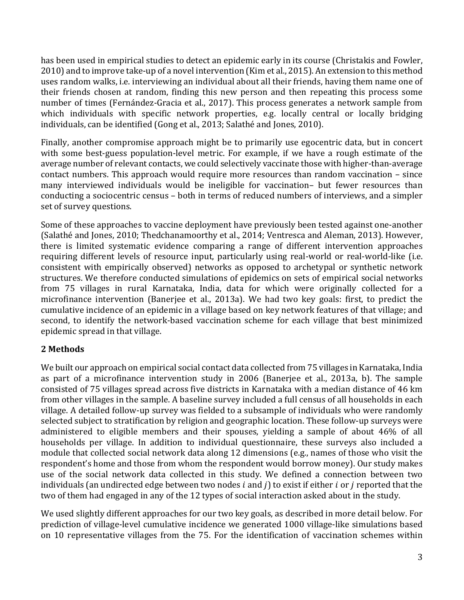has been used in empirical studies to detect an epidemic early in its course (Christakis and Fowler, 2010) and to improve take-up of a novel intervention (Kim et al., 2015). An extension to this method uses random walks, i.e. interviewing an individual about all their friends, having them name one of their friends chosen at random, finding this new person and then repeating this process some number of times (Fernández-Gracia et al., 2017). This process generates a network sample from which individuals with specific network properties, e.g. locally central or locally bridging individuals, can be identified (Gong et al., 2013; Salathé and Jones, 2010).

Finally, another compromise approach might be to primarily use egocentric data, but in concert with some best-guess population-level metric. For example, if we have a rough estimate of the average number of relevant contacts, we could selectively vaccinate those with higher-than-average contact numbers. This approach would require more resources than random vaccination  $-$  since many interviewed individuals would be ineligible for vaccination- but fewer resources than conducting a sociocentric census – both in terms of reduced numbers of interviews, and a simpler set of survey questions.

Some of these approaches to vaccine deployment have previously been tested against one-another (Salathé and Jones, 2010; Thedchanamoorthy et al., 2014; Ventresca and Aleman, 2013). However, there is limited systematic evidence comparing a range of different intervention approaches requiring different levels of resource input, particularly using real-world or real-world-like (i.e. consistent with empirically observed) networks as opposed to archetypal or synthetic network structures. We therefore conducted simulations of epidemics on sets of empirical social networks from 75 villages in rural Karnataka, India, data for which were originally collected for a microfinance intervention (Banerjee et al., 2013a). We had two key goals: first, to predict the cumulative incidence of an epidemic in a village based on key network features of that village; and second, to identify the network-based vaccination scheme for each village that best minimized epidemic spread in that village.

### **2 Methods**

We built our approach on empirical social contact data collected from 75 villages in Karnataka, India as part of a microfinance intervention study in 2006 (Banerjee et al., 2013a, b). The sample consisted of 75 villages spread across five districts in Karnataka with a median distance of 46 km from other villages in the sample. A baseline survey included a full census of all households in each village. A detailed follow-up survey was fielded to a subsample of individuals who were randomly selected subject to stratification by religion and geographic location. These follow-up surveys were administered to eligible members and their spouses, yielding a sample of about 46% of all households per village. In addition to individual questionnaire, these surveys also included a module that collected social network data along 12 dimensions (e.g., names of those who visit the respondent's home and those from whom the respondent would borrow money). Our study makes use of the social network data collected in this study. We defined a connection between two individuals (an undirected edge between two nodes  $i$  and  $j$ ) to exist if either  $i$  or  $j$  reported that the two of them had engaged in any of the 12 types of social interaction asked about in the study.

We used slightly different approaches for our two key goals, as described in more detail below. For prediction of village-level cumulative incidence we generated 1000 village-like simulations based on 10 representative villages from the 75. For the identification of vaccination schemes within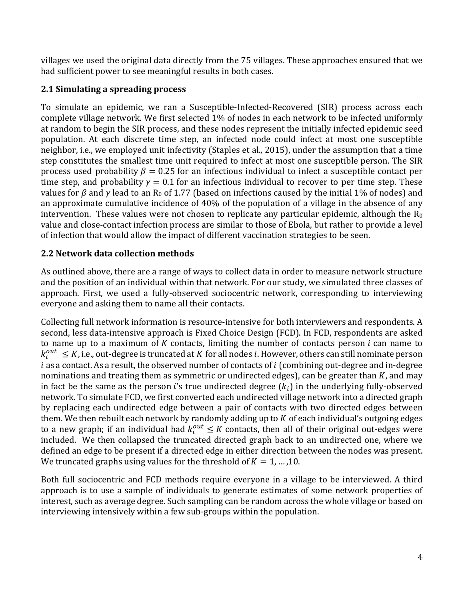villages we used the original data directly from the 75 villages. These approaches ensured that we had sufficient power to see meaningful results in both cases.

## **2.1 Simulating a spreading process**

To simulate an epidemic, we ran a Susceptible-Infected-Recovered (SIR) process across each complete village network. We first selected 1% of nodes in each network to be infected uniformly at random to begin the SIR process, and these nodes represent the initially infected epidemic seed population. At each discrete time step, an infected node could infect at most one susceptible neighbor, i.e., we employed unit infectivity (Staples et al., 2015), under the assumption that a time step constitutes the smallest time unit required to infect at most one susceptible person. The SIR process used probability  $\beta = 0.25$  for an infectious individual to infect a susceptible contact per time step, and probability  $\gamma = 0.1$  for an infectious individual to recover to per time step. These values for  $\beta$  and  $\gamma$  lead to an R<sub>0</sub> of 1.77 (based on infections caused by the initial 1% of nodes) and an approximate cumulative incidence of 40% of the population of a village in the absence of any intervention. These values were not chosen to replicate any particular epidemic, although the  $R_0$ value and close-contact infection process are similar to those of Ebola, but rather to provide a level of infection that would allow the impact of different vaccination strategies to be seen.

### **2.2 Network data collection methods**

As outlined above, there are a range of ways to collect data in order to measure network structure and the position of an individual within that network. For our study, we simulated three classes of approach. First, we used a fully-observed sociocentric network, corresponding to interviewing everyone and asking them to name all their contacts.

Collecting full network information is resource-intensive for both interviewers and respondents. A second, less data-intensive approach is Fixed Choice Design (FCD). In FCD, respondents are asked to name up to a maximum of  $K$  contacts, limiting the number of contacts person  $i$  can name to  $k_i^{out} \leq K$ , i.e., out-degree is truncated at  $K$  for all nodes  $i$ . However, others can still nominate person  $i$  as a contact. As a result, the observed number of contacts of  $i$  (combining out-degree and in-degree nominations and treating them as symmetric or undirected edges), can be greater than  $K$ , and may in fact be the same as the person i's true undirected degree  $(k_i)$  in the underlying fully-observed network. To simulate FCD, we first converted each undirected village network into a directed graph by replacing each undirected edge between a pair of contacts with two directed edges between them. We then rebuilt each network by randomly adding up to  $K$  of each individual's outgoing edges to a new graph; if an individual had  $k_{i}^{out} \leq K$  contacts, then all of their original out-edges were included. We then collapsed the truncated directed graph back to an undirected one, where we defined an edge to be present if a directed edge in either direction between the nodes was present. We truncated graphs using values for the threshold of  $K = 1, ..., 10$ .

Both full sociocentric and FCD methods require everyone in a village to be interviewed. A third approach is to use a sample of individuals to generate estimates of some network properties of interest, such as average degree. Such sampling can be random across the whole village or based on interviewing intensively within a few sub-groups within the population.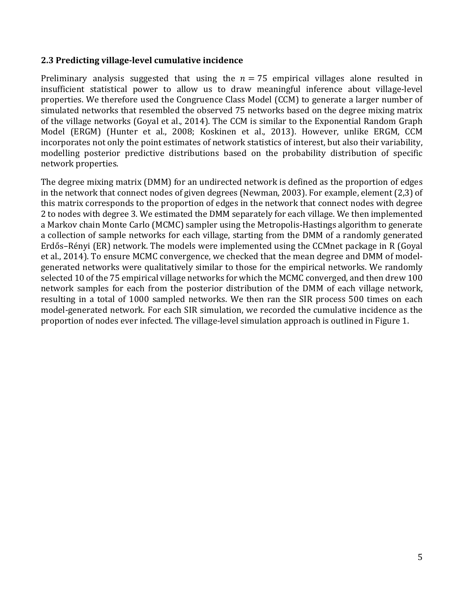#### **2.3 Predicting village-level cumulative incidence**

Preliminary analysis suggested that using the  $n = 75$  empirical villages alone resulted in insufficient statistical power to allow us to draw meaningful inference about village-level properties. We therefore used the Congruence Class Model (CCM) to generate a larger number of simulated networks that resembled the observed 75 networks based on the degree mixing matrix of the village networks (Goyal et al., 2014). The CCM is similar to the Exponential Random Graph Model (ERGM) (Hunter et al., 2008; Koskinen et al., 2013). However, unlike ERGM, CCM incorporates not only the point estimates of network statistics of interest, but also their variability, modelling posterior predictive distributions based on the probability distribution of specific network properties. 

The degree mixing matrix (DMM) for an undirected network is defined as the proportion of edges in the network that connect nodes of given degrees (Newman, 2003). For example, element (2,3) of this matrix corresponds to the proportion of edges in the network that connect nodes with degree 2 to nodes with degree 3. We estimated the DMM separately for each village. We then implemented a Markov chain Monte Carlo (MCMC) sampler using the Metropolis-Hastings algorithm to generate a collection of sample networks for each village, starting from the DMM of a randomly generated Erdős-Rényi (ER) network. The models were implemented using the CCMnet package in R (Goyal et al., 2014). To ensure MCMC convergence, we checked that the mean degree and DMM of modelgenerated networks were qualitatively similar to those for the empirical networks. We randomly selected 10 of the 75 empirical village networks for which the MCMC converged, and then drew 100 network samples for each from the posterior distribution of the DMM of each village network, resulting in a total of 1000 sampled networks. We then ran the SIR process 500 times on each model-generated network. For each SIR simulation, we recorded the cumulative incidence as the proportion of nodes ever infected. The village-level simulation approach is outlined in Figure 1.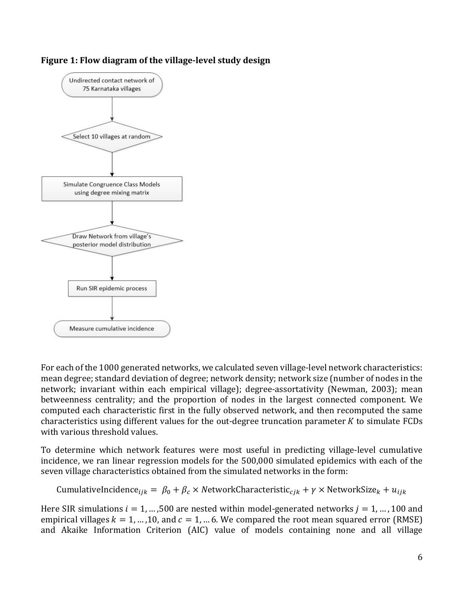



For each of the 1000 generated networks, we calculated seven village-level network characteristics: mean degree; standard deviation of degree; network density; network size (number of nodes in the network; invariant within each empirical village); degree-assortativity (Newman, 2003); mean betweenness centrality; and the proportion of nodes in the largest connected component. We computed each characteristic first in the fully observed network, and then recomputed the same characteristics using different values for the out-degree truncation parameter  $K$  to simulate  $FCDs$ with various threshold values.

To determine which network features were most useful in predicting village-level cumulative incidence, we ran linear regression models for the 500,000 simulated epidemics with each of the seven village characteristics obtained from the simulated networks in the form:

CumulativeIncidence $\epsilon_{ijk} = \beta_0 + \beta_c \times$  NetworkCharacteristic<sub>cik</sub> +  $\gamma \times$  NetworkSize<sub>k</sub> +  $u_{ijk}$ 

Here SIR simulations  $i = 1, ..., 500$  are nested within model-generated networks  $j = 1, ..., 100$  and empirical villages  $k = 1, ..., 10$ , and  $c = 1, ... 6$ . We compared the root mean squared error (RMSE) and Akaike Information Criterion (AIC) value of models containing none and all village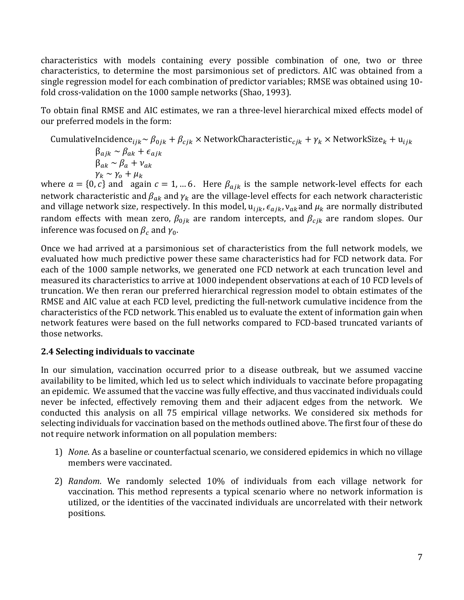characteristics with models containing every possible combination of one, two or three characteristics, to determine the most parsimonious set of predictors. AIC was obtained from a single regression model for each combination of predictor variables; RMSE was obtained using 10fold cross-validation on the 1000 sample networks (Shao, 1993).

To obtain final RMSE and AIC estimates, we ran a three-level hierarchical mixed effects model of our preferred models in the form:

CumulativeIncidence $\epsilon_{ijk} \sim \beta_{0jk} + \beta_{cjk} \times$ NetworkCharacteristic $\epsilon_{ijk} + \gamma_k \times$ NetworkSize $k + u_{ijk}$  $\beta_{ajk} \sim \beta_{ak} + \epsilon_{ajk}$  $\beta_{ak} \sim \beta_a + v_{ak}$  $\gamma_k \sim \gamma_o + \mu_k$ where  $a = \{0, c\}$  and  $a \neq a$  again  $c = 1, ... 6$ . Here  $\beta_{ajk}$  is the sample network-level effects for each

network characteristic and  $\beta_{ak}$  and  $\gamma_k$  are the village-level effects for each network characteristic and village network size, respectively. In this model,  $u_{ijk}$ ,  $\epsilon_{ajk}$ ,  $v_{ak}$  and  $\mu_k$  are normally distributed random effects with mean zero,  $\beta_{0jk}$  are random intercepts, and  $\beta_{cjk}$  are random slopes. Our inference was focused on  $\beta_c$  and  $\gamma_0$ .

Once we had arrived at a parsimonious set of characteristics from the full network models, we evaluated how much predictive power these same characteristics had for FCD network data. For each of the 1000 sample networks, we generated one FCD network at each truncation level and measured its characteristics to arrive at 1000 independent observations at each of 10 FCD levels of truncation. We then reran our preferred hierarchical regression model to obtain estimates of the RMSE and AIC value at each FCD level, predicting the full-network cumulative incidence from the characteristics of the FCD network. This enabled us to evaluate the extent of information gain when network features were based on the full networks compared to FCD-based truncated variants of those networks.

#### **2.4 Selecting individuals to vaccinate**

In our simulation, vaccination occurred prior to a disease outbreak, but we assumed vaccine availability to be limited, which led us to select which individuals to vaccinate before propagating an epidemic. We assumed that the vaccine was fully effective, and thus vaccinated individuals could never be infected, effectively removing them and their adjacent edges from the network. We conducted this analysis on all 75 empirical village networks. We considered six methods for selecting individuals for vaccination based on the methods outlined above. The first four of these do not require network information on all population members:

- 1) *None*. As a baseline or counterfactual scenario, we considered epidemics in which no village members were vaccinated.
- 2) *Random*. We randomly selected 10% of individuals from each village network for vaccination. This method represents a typical scenario where no network information is utilized, or the identities of the vaccinated individuals are uncorrelated with their network positions.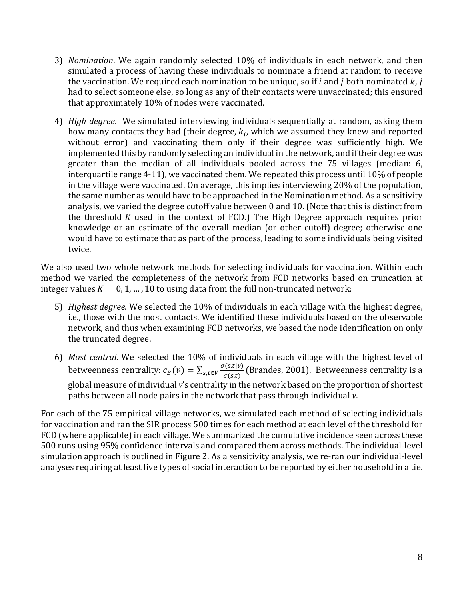- 3) *Nomination*. We again randomly selected 10% of individuals in each network, and then simulated a process of having these individuals to nominate a friend at random to receive the vaccination. We required each nomination to be unique, so if i and j both nominated  $k$ , j had to select someone else, so long as any of their contacts were unvaccinated; this ensured that approximately 10% of nodes were vaccinated.
- 4) *High degree*. We simulated interviewing individuals sequentially at random, asking them how many contacts they had (their degree,  $k_i$ , which we assumed they knew and reported without error) and vaccinating them only if their degree was sufficiently high. We implemented this by randomly selecting an individual in the network, and if their degree was greater than the median of all individuals pooled across the 75 villages (median: 6, interquartile range  $4-11$ ), we vaccinated them. We repeated this process until  $10\%$  of people in the village were vaccinated. On average, this implies interviewing  $20\%$  of the population, the same number as would have to be approached in the Nomination method. As a sensitivity analysis, we varied the degree cutoff value between 0 and 10. (Note that this is distinct from the threshold  $K$  used in the context of FCD.) The High Degree approach requires prior knowledge or an estimate of the overall median (or other cutoff) degree; otherwise one would have to estimate that as part of the process, leading to some individuals being visited twice.

We also used two whole network methods for selecting individuals for vaccination. Within each method we varied the completeness of the network from FCD networks based on truncation at integer values  $K = 0, 1, ..., 10$  to using data from the full non-truncated network:

- 5) *Highest degree*. We selected the 10% of individuals in each village with the highest degree, i.e., those with the most contacts. We identified these individuals based on the observable network, and thus when examining FCD networks, we based the node identification on only the truncated degree.
- 6) Most central. We selected the 10% of individuals in each village with the highest level of betweenness centrality:  $c_B(v) = \sum_{s,t \in V} \frac{\sigma(s,t|v)}{\sigma(s,t)}$  (Brandes, 2001). Betweenness centrality is a global measure of individual v's centrality in the network based on the proportion of shortest paths between all node pairs in the network that pass through individual *v*.

For each of the 75 empirical village networks, we simulated each method of selecting individuals for vaccination and ran the SIR process 500 times for each method at each level of the threshold for FCD (where applicable) in each village. We summarized the cumulative incidence seen across these 500 runs using 95% confidence intervals and compared them across methods. The individual-level simulation approach is outlined in Figure 2. As a sensitivity analysis, we re-ran our individual-level analyses requiring at least five types of social interaction to be reported by either household in a tie.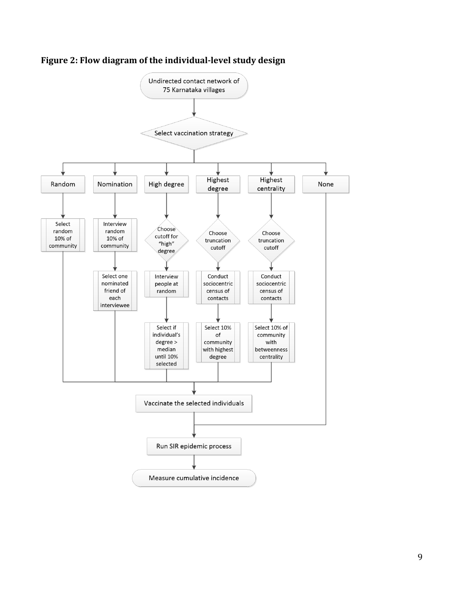

Figure 2: Flow diagram of the individual-level study design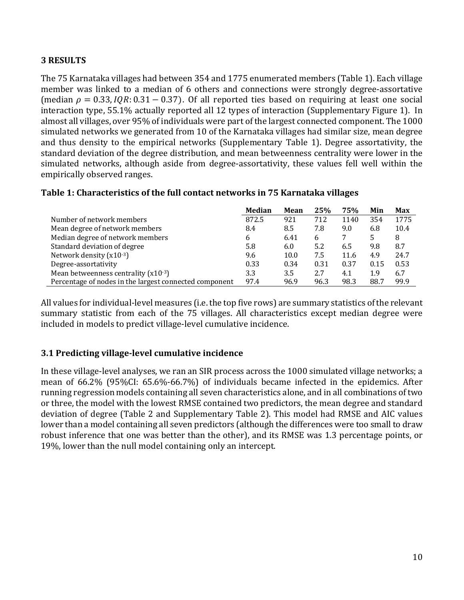### **3 RESULTS**

The 75 Karnataka villages had between 354 and 1775 enumerated members (Table 1). Each village member was linked to a median of 6 others and connections were strongly degree-assortative (median  $\rho = 0.33$ ,  $IQR: 0.31 - 0.37$ ). Of all reported ties based on requiring at least one social interaction type, 55.1% actually reported all 12 types of interaction (Supplementary Figure 1). In almost all villages, over 95% of individuals were part of the largest connected component. The 1000 simulated networks we generated from 10 of the Karnataka villages had similar size, mean degree and thus density to the empirical networks (Supplementary Table 1). Degree assortativity, the standard deviation of the degree distribution, and mean betweenness centrality were lower in the simulated networks, although aside from degree-assortativity, these values fell well within the empirically observed ranges.

#### **Median Mean 25% 75% Min Max** Number of network members 6 1775 872.5 921 712 1140 354 1775 Mean degree of network members 6.4 8.5 7.8 9.0 6.8 10.4 Median degree of network members and the state of the state of the state of the state of the state of the state of the state of the state of the state of the state of the state of the state of the state of the state of the Standard deviation of degree  $\begin{array}{cccc} 5.8 & 6.0 & 5.2 & 6.5 & 9.8 & 8.7 \end{array}$ Network density (x10<sup>-3</sup>) 10.0 24.7 and the set of the set of the set of the set of the set of the set of the set of the set of the set of the set of the set of the set of the set of the set of the set of the set of the se Degree-assortativity 0.33 0.34 0.31 0.37 0.15 0.53 Mean betweenness centrality  $(x10^{-3})$  3.3 3.5 2.7 4.1 1.9 6.7 Percentage of nodes in the largest connected component 97.4 96.9 96.3 98.3 88.7 99.9

### **Table 1: Characteristics of the full contact networks in 75 Karnataka villages**

All values for individual-level measures (i.e. the top five rows) are summary statistics of the relevant summary statistic from each of the 75 villages. All characteristics except median degree were included in models to predict village-level cumulative incidence.

### **3.1 Predicting village-level cumulative incidence**

In these village-level analyses, we ran an SIR process across the 1000 simulated village networks; a mean of 66.2% (95%CI: 65.6%-66.7%) of individuals became infected in the epidemics. After running regression models containing all seven characteristics alone, and in all combinations of two or three, the model with the lowest RMSE contained two predictors, the mean degree and standard deviation of degree (Table 2 and Supplementary Table 2). This model had RMSE and AIC values lower than a model containing all seven predictors (although the differences were too small to draw robust inference that one was better than the other), and its RMSE was 1.3 percentage points, or 19%, lower than the null model containing only an intercept.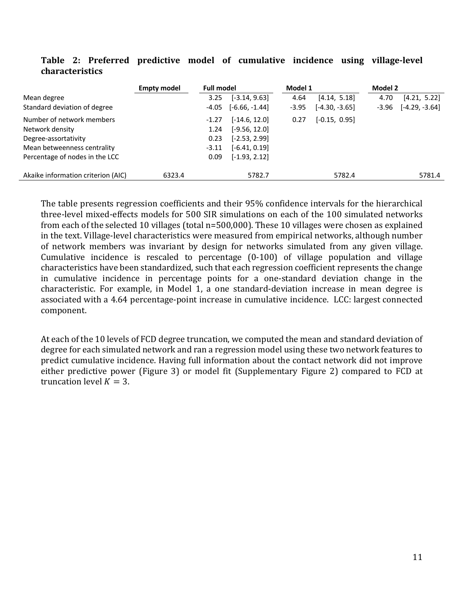|                                    | <b>Empty model</b> | <b>Full model</b> |                  | Model 1 |                  | Model 2 |                  |
|------------------------------------|--------------------|-------------------|------------------|---------|------------------|---------|------------------|
| Mean degree                        |                    | 3.25              | $[-3.14, 9.63]$  | 4.64    | [4.14, 5.18]     | 4.70    | [4.21, 5.22]     |
| Standard deviation of degree       |                    | $-4.05$           | $[-6.66, -1.44]$ | $-3.95$ | $[-4.30, -3.65]$ | $-3.96$ | $[-4.29, -3.64]$ |
| Number of network members          |                    | $-1.27$           | $[-14.6, 12.0]$  | 0.27    | $[-0.15, 0.95]$  |         |                  |
| Network density                    |                    | 1.24              | $[-9.56, 12.0]$  |         |                  |         |                  |
| Degree-assortativity               |                    | 0.23              | $[-2.53, 2.99]$  |         |                  |         |                  |
| Mean betweenness centrality        |                    | -3.11             | $[-6.41, 0.19]$  |         |                  |         |                  |
| Percentage of nodes in the LCC     |                    | 0.09              | $[-1.93, 2.12]$  |         |                  |         |                  |
| Akaike information criterion (AIC) | 6323.4             |                   | 5782.7           |         | 5782.4           |         | 5781.4           |

#### Table 2: Preferred predictive model of cumulative incidence using village-level **characteristics**

The table presents regression coefficients and their 95% confidence intervals for the hierarchical three-level mixed-effects models for 500 SIR simulations on each of the 100 simulated networks from each of the selected 10 villages (total  $n=500,000$ ). These 10 villages were chosen as explained in the text. Village-level characteristics were measured from empirical networks, although number of network members was invariant by design for networks simulated from any given village. Cumulative incidence is rescaled to percentage  $(0-100)$  of village population and village characteristics have been standardized, such that each regression coefficient represents the change in cumulative incidence in percentage points for a one-standard deviation change in the characteristic. For example, in Model 1, a one standard-deviation increase in mean degree is associated with a 4.64 percentage-point increase in cumulative incidence. LCC: largest connected component.

At each of the 10 levels of FCD degree truncation, we computed the mean and standard deviation of degree for each simulated network and ran a regression model using these two network features to predict cumulative incidence. Having full information about the contact network did not improve either predictive power (Figure 3) or model fit (Supplementary Figure 2) compared to FCD at truncation level  $K = 3$ .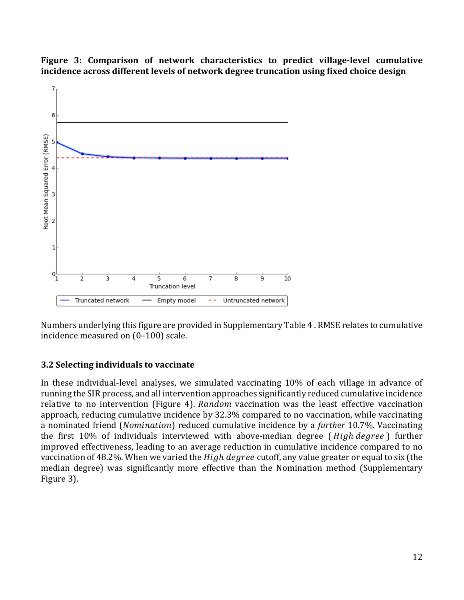

Figure 3: Comparison of network characteristics to predict village-level cumulative incidence across different levels of network degree truncation using fixed choice design

Numbers underlying this figure are provided in Supplementary Table 4. RMSE relates to cumulative incidence measured on  $(0-100)$  scale.

### **3.2 Selecting individuals to vaccinate**

In these individual-level analyses, we simulated vaccinating 10% of each village in advance of running the SIR process, and all intervention approaches significantly reduced cumulative incidence relative to no intervention (Figure 4). Random vaccination was the least effective vaccination approach, reducing cumulative incidence by 32.3% compared to no vaccination, while vaccinating a nominated friend (*Nomination*) reduced cumulative incidence by a *further* 10.7%. Vaccinating the first 10% of individuals interviewed with above-median degree (*High degree*) further improved effectiveness, leading to an average reduction in cumulative incidence compared to no vaccination of 48.2%. When we varied the High degree cutoff, any value greater or equal to six (the median degree) was significantly more effective than the Nomination method (Supplementary Figure 3).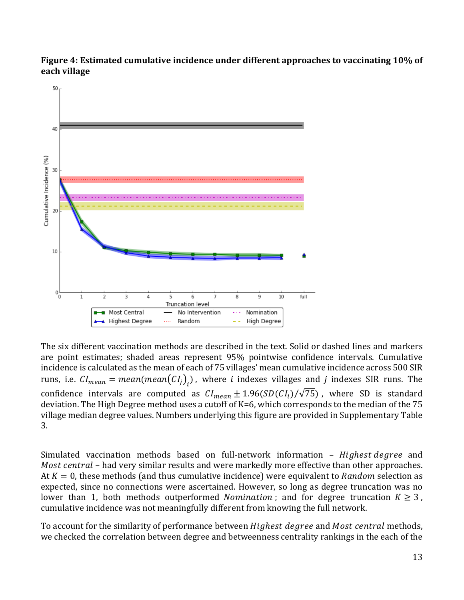



The six different vaccination methods are described in the text. Solid or dashed lines and markers are point estimates; shaded areas represent 95% pointwise confidence intervals. Cumulative incidence is calculated as the mean of each of 75 villages' mean cumulative incidence across 500 SIR runs, i.e.  $CI_{mean} = mean(mean(CI_j)_i)$  , where  $i$  indexes villages and  $j$  indexes SIR runs. The confidence intervals are computed as  $Cl_{mean} \pm 1.96(SD(Cl_i)/\sqrt{75})$ , where SD is standard deviation. The High Degree method uses a cutoff of  $K=6$ , which corresponds to the median of the  $75$ village median degree values. Numbers underlying this figure are provided in Supplementary Table 3.

Simulated vaccination methods based on full-network information – Highest degree and *Most central* – had very similar results and were markedly more effective than other approaches. At  $K = 0$ , these methods (and thus cumulative incidence) were equivalent to Random selection as expected, since no connections were ascertained. However, so long as degree truncation was no lower than 1, both methods outperformed *Nomination*; and for degree truncation  $K \geq 3$ , cumulative incidence was not meaningfully different from knowing the full network.

To account for the similarity of performance between *Highest degree* and *Most central* methods, we checked the correlation between degree and betweenness centrality rankings in the each of the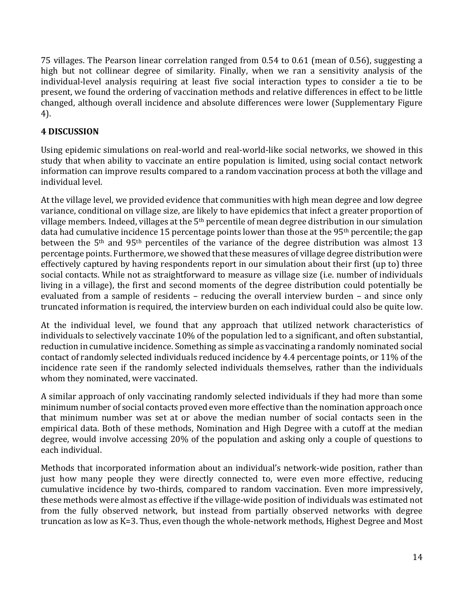75 villages. The Pearson linear correlation ranged from 0.54 to 0.61 (mean of 0.56), suggesting a high but not collinear degree of similarity. Finally, when we ran a sensitivity analysis of the individual-level analysis requiring at least five social interaction types to consider a tie to be present, we found the ordering of vaccination methods and relative differences in effect to be little changed, although overall incidence and absolute differences were lower (Supplementary Figure 4).

## **4 DISCUSSION**

Using epidemic simulations on real-world and real-world-like social networks, we showed in this study that when ability to vaccinate an entire population is limited, using social contact network information can improve results compared to a random vaccination process at both the village and individual level.

At the village level, we provided evidence that communities with high mean degree and low degree variance, conditional on village size, are likely to have epidemics that infect a greater proportion of village members. Indeed, villages at the  $5<sup>th</sup>$  percentile of mean degree distribution in our simulation data had cumulative incidence 15 percentage points lower than those at the 95<sup>th</sup> percentile; the gap between the  $5<sup>th</sup>$  and  $95<sup>th</sup>$  percentiles of the variance of the degree distribution was almost 13 percentage points. Furthermore, we showed that these measures of village degree distribution were effectively captured by having respondents report in our simulation about their first (up to) three social contacts. While not as straightforward to measure as village size (i.e. number of individuals living in a village), the first and second moments of the degree distribution could potentially be evaluated from a sample of residents – reducing the overall interview burden – and since only truncated information is required, the interview burden on each individual could also be quite low.

At the individual level, we found that any approach that utilized network characteristics of individuals to selectively vaccinate 10% of the population led to a significant, and often substantial, reduction in cumulative incidence. Something as simple as vaccinating a randomly nominated social contact of randomly selected individuals reduced incidence by 4.4 percentage points, or 11% of the incidence rate seen if the randomly selected individuals themselves, rather than the individuals whom they nominated, were vaccinated.

A similar approach of only vaccinating randomly selected individuals if they had more than some minimum number of social contacts proved even more effective than the nomination approach once that minimum number was set at or above the median number of social contacts seen in the empirical data. Both of these methods, Nomination and High Degree with a cutoff at the median degree, would involve accessing 20% of the population and asking only a couple of questions to each individual.

Methods that incorporated information about an individual's network-wide position, rather than just how many people they were directly connected to, were even more effective, reducing cumulative incidence by two-thirds, compared to random vaccination. Even more impressively, these methods were almost as effective if the village-wide position of individuals was estimated not from the fully observed network, but instead from partially observed networks with degree truncation as low as K=3. Thus, even though the whole-network methods, Highest Degree and Most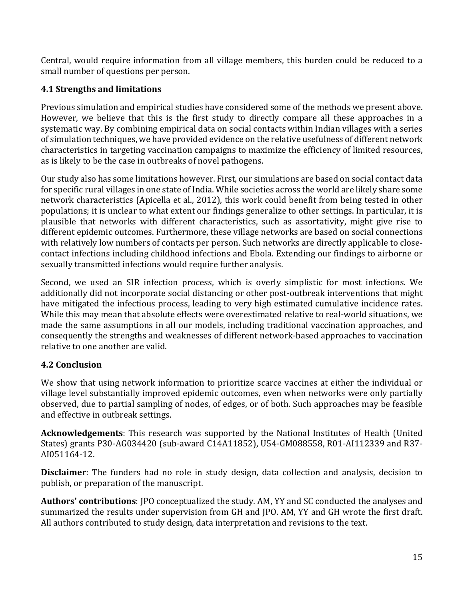Central, would require information from all village members, this burden could be reduced to a small number of questions per person.

## **4.1 Strengths and limitations**

Previous simulation and empirical studies have considered some of the methods we present above. However, we believe that this is the first study to directly compare all these approaches in a systematic way. By combining empirical data on social contacts within Indian villages with a series of simulation techniques, we have provided evidence on the relative usefulness of different network characteristics in targeting vaccination campaigns to maximize the efficiency of limited resources, as is likely to be the case in outbreaks of novel pathogens.

Our study also has some limitations however. First, our simulations are based on social contact data for specific rural villages in one state of India. While societies across the world are likely share some network characteristics (Apicella et al., 2012), this work could benefit from being tested in other populations; it is unclear to what extent our findings generalize to other settings. In particular, it is plausible that networks with different characteristics, such as assortativity, might give rise to different epidemic outcomes. Furthermore, these village networks are based on social connections with relatively low numbers of contacts per person. Such networks are directly applicable to closecontact infections including childhood infections and Ebola. Extending our findings to airborne or sexually transmitted infections would require further analysis.

Second, we used an SIR infection process, which is overly simplistic for most infections. We additionally did not incorporate social distancing or other post-outbreak interventions that might have mitigated the infectious process, leading to very high estimated cumulative incidence rates. While this may mean that absolute effects were overestimated relative to real-world situations, we made the same assumptions in all our models, including traditional vaccination approaches, and consequently the strengths and weaknesses of different network-based approaches to vaccination relative to one another are valid.

## **4.2 Conclusion**

We show that using network information to prioritize scarce vaccines at either the individual or village level substantially improved epidemic outcomes, even when networks were only partially observed, due to partial sampling of nodes, of edges, or of both. Such approaches may be feasible and effective in outbreak settings.

**Acknowledgements**: This research was supported by the National Institutes of Health (United States) grants P30-AG034420 (sub-award C14A11852), U54-GM088558, R01-AI112339 and R37-AI051164-12.

**Disclaimer**: The funders had no role in study design, data collection and analysis, decision to publish, or preparation of the manuscript.

Authors' contributions: JPO conceptualized the study. AM, YY and SC conducted the analyses and summarized the results under supervision from GH and JPO. AM, YY and GH wrote the first draft. All authors contributed to study design, data interpretation and revisions to the text.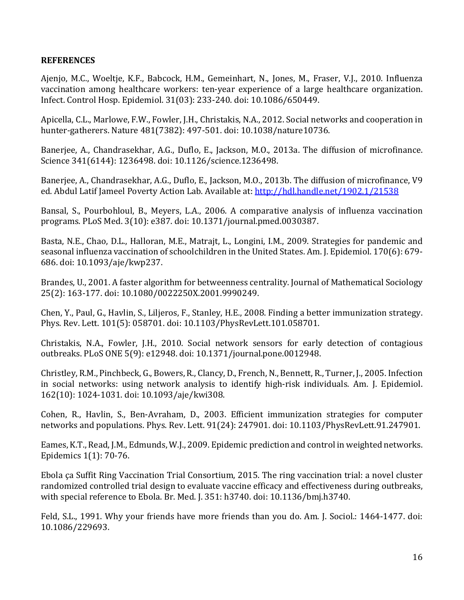#### **REFERENCES**

Ajenjo, M.C., Woeltje, K.F., Babcock, H.M., Gemeinhart, N., Jones, M., Fraser, V.J., 2010. Influenza vaccination among healthcare workers: ten-year experience of a large healthcare organization. Infect. Control Hosp. Epidemiol. 31(03): 233-240. doi: 10.1086/650449.

Apicella, C.L., Marlowe, F.W., Fowler, J.H., Christakis, N.A., 2012. Social networks and cooperation in hunter-gatherers. Nature 481(7382): 497-501. doi: 10.1038/nature10736.

Banerjee, A., Chandrasekhar, A.G., Duflo, E., Jackson, M.O., 2013a. The diffusion of microfinance. Science 341(6144): 1236498. doi: 10.1126/science.1236498.

Banerjee, A., Chandrasekhar, A.G., Duflo, E., Jackson, M.O., 2013b. The diffusion of microfinance, V9 ed. Abdul Latif Jameel Poverty Action Lab. Available at: http://hdl.handle.net/1902.1/21538

Bansal, S., Pourbohloul, B., Meyers, L.A., 2006. A comparative analysis of influenza vaccination programs. PLoS Med. 3(10): e387. doi: 10.1371/journal.pmed.0030387.

Basta, N.E., Chao, D.L., Halloran, M.E., Matrajt, L., Longini, I.M., 2009. Strategies for pandemic and seasonal influenza vaccination of schoolchildren in the United States. Am. J. Epidemiol. 170(6): 679-686. doi: 10.1093/aje/kwp237.

Brandes, U., 2001. A faster algorithm for betweenness centrality. Journal of Mathematical Sociology 25(2): 163-177. doi: 10.1080/0022250X.2001.9990249.

Chen, Y., Paul, G., Havlin, S., Liljeros, F., Stanley, H.E., 2008. Finding a better immunization strategy. Phys. Rev. Lett. 101(5): 058701. doi: 10.1103/PhysRevLett.101.058701.

Christakis, N.A., Fowler, J.H., 2010. Social network sensors for early detection of contagious outbreaks. PLoS ONE 5(9): e12948. doi: 10.1371/journal.pone.0012948.

Christley, R.M., Pinchbeck, G., Bowers, R., Clancy, D., French, N., Bennett, R., Turner, J., 2005. Infection in social networks: using network analysis to identify high-risk individuals. Am. J. Epidemiol. 162(10): 1024-1031. doi: 10.1093/aje/kwi308.

Cohen, R., Havlin, S., Ben-Avraham, D., 2003. Efficient immunization strategies for computer networks and populations. Phys. Rev. Lett. 91(24): 247901. doi: 10.1103/PhysRevLett.91.247901.

Eames, K.T., Read, J.M., Edmunds, W.J., 2009. Epidemic prediction and control in weighted networks. Epidemics  $1(1)$ : 70-76.

Ebola ça Suffit Ring Vaccination Trial Consortium, 2015. The ring vaccination trial: a novel cluster randomized controlled trial design to evaluate vaccine efficacy and effectiveness during outbreaks, with special reference to Ebola. Br. Med. J. 351: h3740. doi: 10.1136/bmj.h3740.

Feld, S.L., 1991. Why your friends have more friends than you do. Am. J. Sociol.: 1464-1477. doi: 10.1086/229693.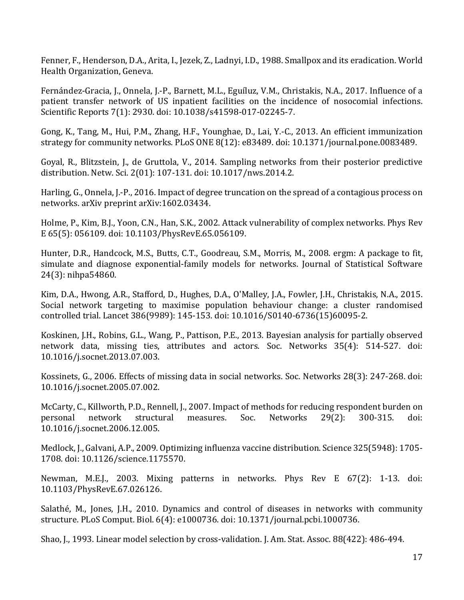Fenner, F., Henderson, D.A., Arita, I., Jezek, Z., Ladnyi, I.D., 1988. Smallpox and its eradication. World Health Organization, Geneva.

Fernández-Gracia, J., Onnela, J.-P., Barnett, M.L., Eguíluz, V.M., Christakis, N.A., 2017. Influence of a patient transfer network of US inpatient facilities on the incidence of nosocomial infections. Scientific Reports 7(1): 2930. doi: 10.1038/s41598-017-02245-7.

Gong, K., Tang, M., Hui, P.M., Zhang, H.F., Younghae, D., Lai, Y.-C., 2013. An efficient immunization strategy for community networks. PLoS ONE 8(12): e83489. doi: 10.1371/journal.pone.0083489.

Goyal, R., Blitzstein, J., de Gruttola, V., 2014. Sampling networks from their posterior predictive distribution. Netw. Sci. 2(01): 107-131. doi: 10.1017/nws.2014.2.

Harling, G., Onnela, J.-P., 2016. Impact of degree truncation on the spread of a contagious process on networks. arXiv preprint arXiv:1602.03434.

Holme, P., Kim, B.J., Yoon, C.N., Han, S.K., 2002. Attack vulnerability of complex networks. Phys Rev E 65(5): 056109. doi: 10.1103/PhysRevE.65.056109.

Hunter, D.R., Handcock, M.S., Butts, C.T., Goodreau, S.M., Morris, M., 2008. ergm: A package to fit, simulate and diagnose exponential-family models for networks. Journal of Statistical Software 24(3): nihpa54860.

Kim, D.A., Hwong, A.R., Stafford, D., Hughes, D.A., O'Malley, J.A., Fowler, J.H., Christakis, N.A., 2015. Social network targeting to maximise population behaviour change: a cluster randomised controlled trial. Lancet 386(9989): 145-153. doi: 10.1016/S0140-6736(15)60095-2.

Koskinen, J.H., Robins, G.L., Wang, P., Pattison, P.E., 2013. Bayesian analysis for partially observed network data, missing ties, attributes and actors. Soc. Networks 35(4): 514-527. doi: 10.1016/j.socnet.2013.07.003.

Kossinets, G., 2006. Effects of missing data in social networks. Soc. Networks 28(3): 247-268. doi: 10.1016/j.socnet.2005.07.002.

McCarty, C., Killworth, P.D., Rennell, J., 2007. Impact of methods for reducing respondent burden on personal network structural measures. Soc. Networks 29(2): 300-315. doi: 10.1016/j.socnet.2006.12.005.

Medlock, J., Galvani, A.P., 2009. Optimizing influenza vaccine distribution. Science 325(5948): 1705-1708. doi: 10.1126/science.1175570.

Newman, M.E.J., 2003. Mixing patterns in networks. Phys Rev E 67(2): 1-13. doi: 10.1103/PhysRevE.67.026126.

Salathé, M., Jones, J.H., 2010. Dynamics and control of diseases in networks with community structure. PLoS Comput. Biol. 6(4): e1000736. doi: 10.1371/journal.pcbi.1000736.

Shao, J., 1993. Linear model selection by cross-validation. J. Am. Stat. Assoc. 88(422): 486-494.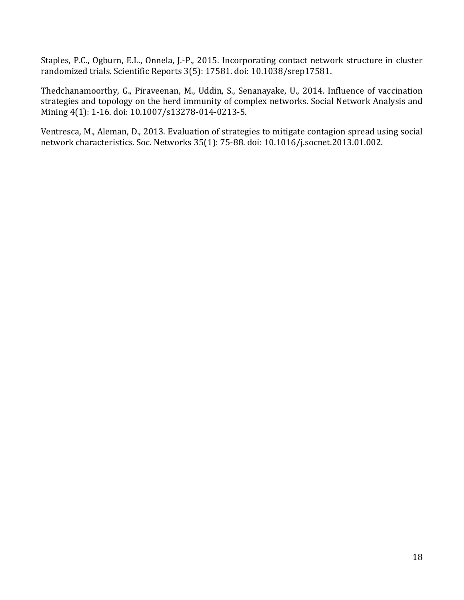Staples, P.C., Ogburn, E.L., Onnela, J.-P., 2015. Incorporating contact network structure in cluster randomized trials. Scientific Reports 3(5): 17581. doi: 10.1038/srep17581.

Thedchanamoorthy, G., Piraveenan, M., Uddin, S., Senanayake, U., 2014. Influence of vaccination strategies and topology on the herd immunity of complex networks. Social Network Analysis and Mining 4(1): 1-16. doi: 10.1007/s13278-014-0213-5.

Ventresca, M., Aleman, D., 2013. Evaluation of strategies to mitigate contagion spread using social network characteristics. Soc. Networks 35(1): 75-88. doi: 10.1016/j.socnet.2013.01.002.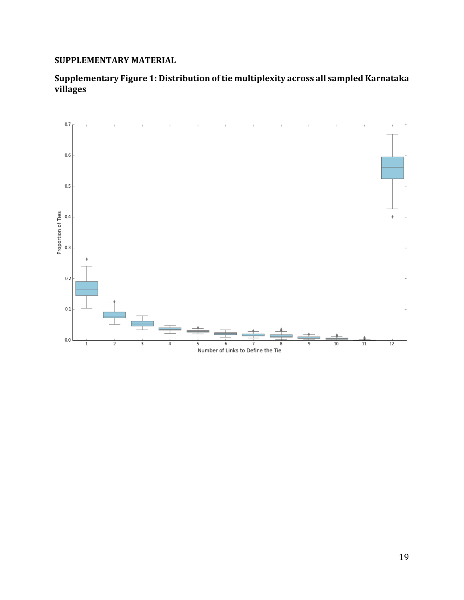### **SUPPLEMENTARY MATERIAL**

## Supplementary Figure 1: Distribution of tie multiplexity across all sampled Karnataka **villages**

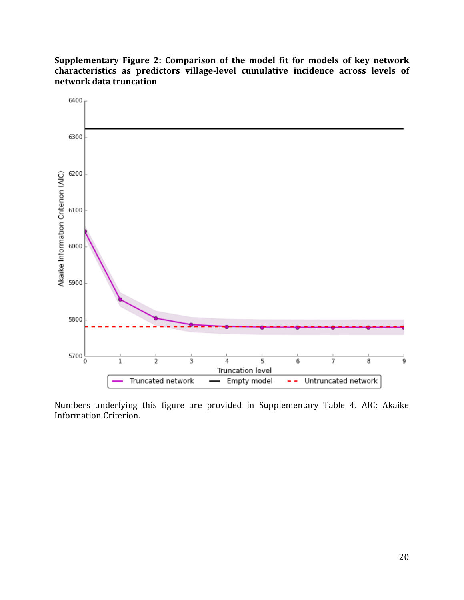Supplementary Figure 2: Comparison of the model fit for models of key network characteristics as predictors village-level cumulative incidence across levels of **network data truncation**



Numbers underlying this figure are provided in Supplementary Table 4. AIC: Akaike Information Criterion.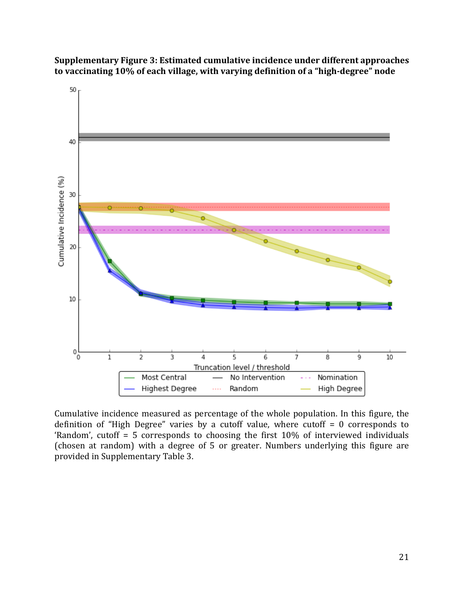**Supplementary Figure 3: Estimated cumulative incidence under different approaches** to vaccinating 10% of each village, with varying definition of a "high-degree" node



Cumulative incidence measured as percentage of the whole population. In this figure, the definition of "High Degree" varies by a cutoff value, where cutoff  $= 0$  corresponds to 'Random', cutoff = 5 corresponds to choosing the first  $10\%$  of interviewed individuals (chosen at random) with a degree of 5 or greater. Numbers underlying this figure are provided in Supplementary Table 3.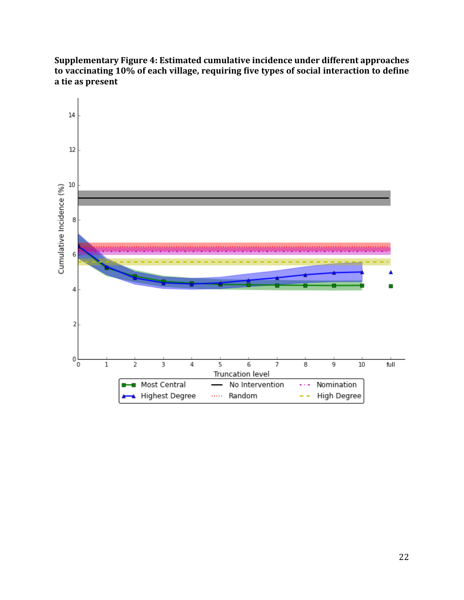Supplementary Figure 4: Estimated cumulative incidence under different approaches to vaccinating 10% of each village, requiring five types of social interaction to define **a tie as present**

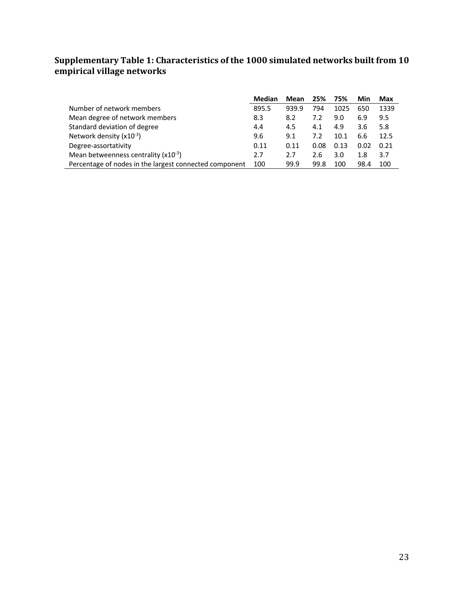#### **Supplementary Table 1: Characteristics of the 1000 simulated networks built from 10 empirical village networks**

|                                                        | <b>Median</b> | Mean  | 25%  | 75%  | Min  | Max  |
|--------------------------------------------------------|---------------|-------|------|------|------|------|
| Number of network members                              | 895.5         | 939.9 | 794  | 1025 | 650  | 1339 |
| Mean degree of network members                         | 8.3           | 8.2   | 7.2  | 9.0  | 6.9  | 9.5  |
| Standard deviation of degree                           | 4.4           | 4.5   | 4.1  | 4.9  | 3.6  | 5.8  |
| Network density $(x10^{-3})$                           | 9.6           | 9.1   | 7.2  | 10.1 | 6.6  | 12.5 |
| Degree-assortativity                                   | 0.11          | 0.11  | 0.08 | 0.13 | 0.02 | 0.21 |
| Mean betweenness centrality $(x10^{-3})$               | 2.7           | 2.7   | 2.6  | 3.0  | 1.8  | 3.7  |
| Percentage of nodes in the largest connected component | 100           | 99.9  | 99.8 | 100  | 98.4 | 100  |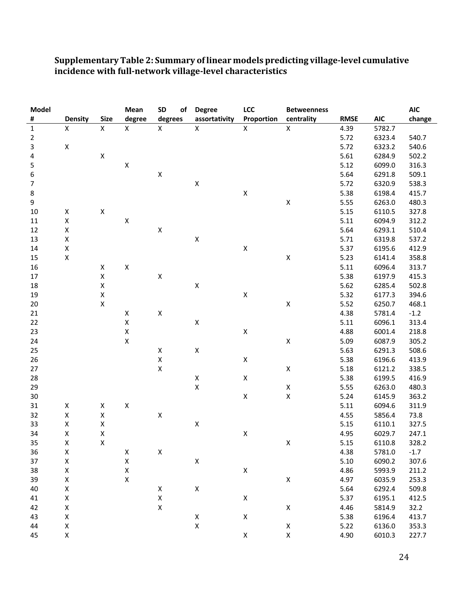| #<br><b>Size</b><br>degree<br>degrees<br>Proportion<br><b>Density</b><br>assortativity<br>centrality<br><b>RMSE</b><br><b>AIC</b><br>change<br>$\pmb{\times}$<br>$\mathsf{X}$<br>$\pmb{\mathsf{X}}$<br>$\mathsf{X}$<br>$\mathsf X$<br>$\mathsf{X}$<br>$\mathsf{X}$<br>$\mathbf 1$<br>4.39<br>5782.7<br>$\overline{2}$<br>5.72<br>6323.4<br>540.7<br>$\mathsf{3}$<br>X<br>5.72<br>540.6<br>6323.2<br>$\pmb{4}$<br>$\pmb{\times}$<br>5.61<br>6284.9<br>502.2<br>5<br>$\pmb{\mathsf{X}}$<br>5.12<br>6099.0<br>316.3<br>$\boldsymbol{6}$<br>$\pmb{\mathsf{X}}$<br>5.64<br>6291.8<br>509.1<br>$\pmb{\mathsf{X}}$<br>$\overline{7}$<br>5.72<br>6320.9<br>538.3<br>$\pmb{\mathsf{X}}$<br>8<br>5.38<br>6198.4<br>415.7<br>$\pmb{\mathsf{X}}$<br>9<br>5.55<br>6263.0<br>480.3<br>$\pmb{\mathsf{X}}$<br>$\pmb{\mathsf{X}}$<br>5.15<br>6110.5<br>327.8<br>10<br>$\pmb{\mathsf{X}}$<br>$\pmb{\mathsf{X}}$<br>5.11<br>6094.9<br>312.2<br>11<br>$\pmb{\mathsf{X}}$<br>$\pmb{\mathsf{X}}$<br>5.64<br>12<br>6293.1<br>510.4<br>$\pmb{\mathsf{X}}$<br>$\pmb{\mathsf{X}}$<br>13<br>5.71<br>6319.8<br>537.2<br>$\pmb{\mathsf{X}}$<br>$\pmb{\mathsf{X}}$<br>14<br>5.37<br>6195.6<br>412.9<br>$\pmb{\mathsf{X}}$<br>$\pmb{\mathsf{X}}$<br>5.23<br>15<br>6141.4<br>358.8<br>$\pmb{\mathsf{X}}$<br>16<br>$\pmb{\mathsf{X}}$<br>5.11<br>6096.4<br>313.7<br>$\pmb{\mathsf{X}}$<br>$\pmb{\mathsf{X}}$<br>5.38<br>6197.9<br>17<br>415.3<br>$\pmb{\mathsf{X}}$<br>$\pmb{\mathsf{X}}$<br>$18\,$<br>5.62<br>6285.4<br>502.8<br>$\pmb{\mathsf{X}}$<br>$\pmb{\mathsf{X}}$<br>19<br>5.32<br>6177.3<br>394.6<br>$\pmb{\mathsf{X}}$<br>$\pmb{\mathsf{X}}$<br>20<br>5.52<br>6250.7<br>468.1 |  |
|---------------------------------------------------------------------------------------------------------------------------------------------------------------------------------------------------------------------------------------------------------------------------------------------------------------------------------------------------------------------------------------------------------------------------------------------------------------------------------------------------------------------------------------------------------------------------------------------------------------------------------------------------------------------------------------------------------------------------------------------------------------------------------------------------------------------------------------------------------------------------------------------------------------------------------------------------------------------------------------------------------------------------------------------------------------------------------------------------------------------------------------------------------------------------------------------------------------------------------------------------------------------------------------------------------------------------------------------------------------------------------------------------------------------------------------------------------------------------------------------------------------------------------------------------------------------------------------------------------------------------------------------------------|--|
|                                                                                                                                                                                                                                                                                                                                                                                                                                                                                                                                                                                                                                                                                                                                                                                                                                                                                                                                                                                                                                                                                                                                                                                                                                                                                                                                                                                                                                                                                                                                                                                                                                                         |  |
|                                                                                                                                                                                                                                                                                                                                                                                                                                                                                                                                                                                                                                                                                                                                                                                                                                                                                                                                                                                                                                                                                                                                                                                                                                                                                                                                                                                                                                                                                                                                                                                                                                                         |  |
|                                                                                                                                                                                                                                                                                                                                                                                                                                                                                                                                                                                                                                                                                                                                                                                                                                                                                                                                                                                                                                                                                                                                                                                                                                                                                                                                                                                                                                                                                                                                                                                                                                                         |  |
|                                                                                                                                                                                                                                                                                                                                                                                                                                                                                                                                                                                                                                                                                                                                                                                                                                                                                                                                                                                                                                                                                                                                                                                                                                                                                                                                                                                                                                                                                                                                                                                                                                                         |  |
|                                                                                                                                                                                                                                                                                                                                                                                                                                                                                                                                                                                                                                                                                                                                                                                                                                                                                                                                                                                                                                                                                                                                                                                                                                                                                                                                                                                                                                                                                                                                                                                                                                                         |  |
|                                                                                                                                                                                                                                                                                                                                                                                                                                                                                                                                                                                                                                                                                                                                                                                                                                                                                                                                                                                                                                                                                                                                                                                                                                                                                                                                                                                                                                                                                                                                                                                                                                                         |  |
|                                                                                                                                                                                                                                                                                                                                                                                                                                                                                                                                                                                                                                                                                                                                                                                                                                                                                                                                                                                                                                                                                                                                                                                                                                                                                                                                                                                                                                                                                                                                                                                                                                                         |  |
|                                                                                                                                                                                                                                                                                                                                                                                                                                                                                                                                                                                                                                                                                                                                                                                                                                                                                                                                                                                                                                                                                                                                                                                                                                                                                                                                                                                                                                                                                                                                                                                                                                                         |  |
|                                                                                                                                                                                                                                                                                                                                                                                                                                                                                                                                                                                                                                                                                                                                                                                                                                                                                                                                                                                                                                                                                                                                                                                                                                                                                                                                                                                                                                                                                                                                                                                                                                                         |  |
|                                                                                                                                                                                                                                                                                                                                                                                                                                                                                                                                                                                                                                                                                                                                                                                                                                                                                                                                                                                                                                                                                                                                                                                                                                                                                                                                                                                                                                                                                                                                                                                                                                                         |  |
|                                                                                                                                                                                                                                                                                                                                                                                                                                                                                                                                                                                                                                                                                                                                                                                                                                                                                                                                                                                                                                                                                                                                                                                                                                                                                                                                                                                                                                                                                                                                                                                                                                                         |  |
|                                                                                                                                                                                                                                                                                                                                                                                                                                                                                                                                                                                                                                                                                                                                                                                                                                                                                                                                                                                                                                                                                                                                                                                                                                                                                                                                                                                                                                                                                                                                                                                                                                                         |  |
|                                                                                                                                                                                                                                                                                                                                                                                                                                                                                                                                                                                                                                                                                                                                                                                                                                                                                                                                                                                                                                                                                                                                                                                                                                                                                                                                                                                                                                                                                                                                                                                                                                                         |  |
|                                                                                                                                                                                                                                                                                                                                                                                                                                                                                                                                                                                                                                                                                                                                                                                                                                                                                                                                                                                                                                                                                                                                                                                                                                                                                                                                                                                                                                                                                                                                                                                                                                                         |  |
|                                                                                                                                                                                                                                                                                                                                                                                                                                                                                                                                                                                                                                                                                                                                                                                                                                                                                                                                                                                                                                                                                                                                                                                                                                                                                                                                                                                                                                                                                                                                                                                                                                                         |  |
|                                                                                                                                                                                                                                                                                                                                                                                                                                                                                                                                                                                                                                                                                                                                                                                                                                                                                                                                                                                                                                                                                                                                                                                                                                                                                                                                                                                                                                                                                                                                                                                                                                                         |  |
|                                                                                                                                                                                                                                                                                                                                                                                                                                                                                                                                                                                                                                                                                                                                                                                                                                                                                                                                                                                                                                                                                                                                                                                                                                                                                                                                                                                                                                                                                                                                                                                                                                                         |  |
|                                                                                                                                                                                                                                                                                                                                                                                                                                                                                                                                                                                                                                                                                                                                                                                                                                                                                                                                                                                                                                                                                                                                                                                                                                                                                                                                                                                                                                                                                                                                                                                                                                                         |  |
|                                                                                                                                                                                                                                                                                                                                                                                                                                                                                                                                                                                                                                                                                                                                                                                                                                                                                                                                                                                                                                                                                                                                                                                                                                                                                                                                                                                                                                                                                                                                                                                                                                                         |  |
|                                                                                                                                                                                                                                                                                                                                                                                                                                                                                                                                                                                                                                                                                                                                                                                                                                                                                                                                                                                                                                                                                                                                                                                                                                                                                                                                                                                                                                                                                                                                                                                                                                                         |  |
|                                                                                                                                                                                                                                                                                                                                                                                                                                                                                                                                                                                                                                                                                                                                                                                                                                                                                                                                                                                                                                                                                                                                                                                                                                                                                                                                                                                                                                                                                                                                                                                                                                                         |  |
| $\pmb{\mathsf{X}}$<br>4.38<br>21<br>$\pmb{\mathsf{X}}$<br>5781.4<br>$-1.2$                                                                                                                                                                                                                                                                                                                                                                                                                                                                                                                                                                                                                                                                                                                                                                                                                                                                                                                                                                                                                                                                                                                                                                                                                                                                                                                                                                                                                                                                                                                                                                              |  |
| $\pmb{\mathsf{X}}$<br>$\pmb{\mathsf{X}}$<br>22<br>5.11<br>6096.1<br>313.4                                                                                                                                                                                                                                                                                                                                                                                                                                                                                                                                                                                                                                                                                                                                                                                                                                                                                                                                                                                                                                                                                                                                                                                                                                                                                                                                                                                                                                                                                                                                                                               |  |
| $\pmb{\mathsf{X}}$<br>$\mathsf X$<br>23<br>4.88<br>6001.4<br>218.8                                                                                                                                                                                                                                                                                                                                                                                                                                                                                                                                                                                                                                                                                                                                                                                                                                                                                                                                                                                                                                                                                                                                                                                                                                                                                                                                                                                                                                                                                                                                                                                      |  |
| $\pmb{\mathsf{X}}$<br>$\pmb{\mathsf{X}}$<br>24<br>5.09<br>6087.9<br>305.2                                                                                                                                                                                                                                                                                                                                                                                                                                                                                                                                                                                                                                                                                                                                                                                                                                                                                                                                                                                                                                                                                                                                                                                                                                                                                                                                                                                                                                                                                                                                                                               |  |
| $\pmb{\mathsf{X}}$<br>25<br>$\pmb{\mathsf{X}}$<br>5.63<br>6291.3<br>508.6                                                                                                                                                                                                                                                                                                                                                                                                                                                                                                                                                                                                                                                                                                                                                                                                                                                                                                                                                                                                                                                                                                                                                                                                                                                                                                                                                                                                                                                                                                                                                                               |  |
| $\pmb{\mathsf{X}}$<br>26<br>$\mathsf X$<br>5.38<br>6196.6<br>413.9                                                                                                                                                                                                                                                                                                                                                                                                                                                                                                                                                                                                                                                                                                                                                                                                                                                                                                                                                                                                                                                                                                                                                                                                                                                                                                                                                                                                                                                                                                                                                                                      |  |
| $\pmb{\mathsf{X}}$<br>$\pmb{\mathsf{X}}$<br>27<br>5.18<br>6121.2<br>338.5                                                                                                                                                                                                                                                                                                                                                                                                                                                                                                                                                                                                                                                                                                                                                                                                                                                                                                                                                                                                                                                                                                                                                                                                                                                                                                                                                                                                                                                                                                                                                                               |  |
| 28<br>$\pmb{\mathsf{X}}$<br>$\pmb{\mathsf{X}}$<br>5.38<br>416.9<br>6199.5                                                                                                                                                                                                                                                                                                                                                                                                                                                                                                                                                                                                                                                                                                                                                                                                                                                                                                                                                                                                                                                                                                                                                                                                                                                                                                                                                                                                                                                                                                                                                                               |  |
| $\mathsf X$<br>$\pmb{\mathsf{X}}$<br>29<br>5.55<br>6263.0<br>480.3                                                                                                                                                                                                                                                                                                                                                                                                                                                                                                                                                                                                                                                                                                                                                                                                                                                                                                                                                                                                                                                                                                                                                                                                                                                                                                                                                                                                                                                                                                                                                                                      |  |
| $\pmb{\mathsf{X}}$<br>$\pmb{\mathsf{X}}$<br>$30\,$<br>5.24<br>6145.9<br>363.2                                                                                                                                                                                                                                                                                                                                                                                                                                                                                                                                                                                                                                                                                                                                                                                                                                                                                                                                                                                                                                                                                                                                                                                                                                                                                                                                                                                                                                                                                                                                                                           |  |
| $\pmb{\mathsf{X}}$<br>5.11<br>31<br>X<br>Χ<br>6094.6<br>311.9                                                                                                                                                                                                                                                                                                                                                                                                                                                                                                                                                                                                                                                                                                                                                                                                                                                                                                                                                                                                                                                                                                                                                                                                                                                                                                                                                                                                                                                                                                                                                                                           |  |
| $\pmb{\mathsf{X}}$<br>$\pmb{\mathsf{X}}$<br>$\pmb{\mathsf{X}}$<br>4.55<br>32<br>5856.4<br>73.8                                                                                                                                                                                                                                                                                                                                                                                                                                                                                                                                                                                                                                                                                                                                                                                                                                                                                                                                                                                                                                                                                                                                                                                                                                                                                                                                                                                                                                                                                                                                                          |  |
| $\pmb{\mathsf{X}}$<br>33<br>$\pmb{\mathsf{X}}$<br>Χ<br>5.15<br>6110.1<br>327.5                                                                                                                                                                                                                                                                                                                                                                                                                                                                                                                                                                                                                                                                                                                                                                                                                                                                                                                                                                                                                                                                                                                                                                                                                                                                                                                                                                                                                                                                                                                                                                          |  |
| $\pmb{\mathsf{X}}$<br>$\pmb{\mathsf{X}}$<br>34<br>$\pmb{\mathsf{X}}$<br>6029.7<br>4.95<br>247.1                                                                                                                                                                                                                                                                                                                                                                                                                                                                                                                                                                                                                                                                                                                                                                                                                                                                                                                                                                                                                                                                                                                                                                                                                                                                                                                                                                                                                                                                                                                                                         |  |
| 35<br>X<br>$\pmb{\mathsf{X}}$<br>5.15<br>328.2<br>Χ<br>6110.8                                                                                                                                                                                                                                                                                                                                                                                                                                                                                                                                                                                                                                                                                                                                                                                                                                                                                                                                                                                                                                                                                                                                                                                                                                                                                                                                                                                                                                                                                                                                                                                           |  |
| $\pmb{\mathsf{X}}$<br>36<br>Χ<br>4.38<br>5781.0<br>$-1.7$<br>X                                                                                                                                                                                                                                                                                                                                                                                                                                                                                                                                                                                                                                                                                                                                                                                                                                                                                                                                                                                                                                                                                                                                                                                                                                                                                                                                                                                                                                                                                                                                                                                          |  |
| $\pmb{\mathsf{X}}$<br>$\pmb{\mathsf{X}}$<br>5.10<br>37<br>X<br>6090.2<br>307.6                                                                                                                                                                                                                                                                                                                                                                                                                                                                                                                                                                                                                                                                                                                                                                                                                                                                                                                                                                                                                                                                                                                                                                                                                                                                                                                                                                                                                                                                                                                                                                          |  |
| $\pmb{\mathsf{X}}$<br>$\pmb{\mathsf{X}}$<br>$\mathsf X$<br>38<br>4.86<br>5993.9<br>211.2                                                                                                                                                                                                                                                                                                                                                                                                                                                                                                                                                                                                                                                                                                                                                                                                                                                                                                                                                                                                                                                                                                                                                                                                                                                                                                                                                                                                                                                                                                                                                                |  |
| $\pmb{\mathsf{X}}$<br>$\pmb{\mathsf{X}}$<br>$\mathsf X$<br>39<br>4.97<br>253.3<br>6035.9                                                                                                                                                                                                                                                                                                                                                                                                                                                                                                                                                                                                                                                                                                                                                                                                                                                                                                                                                                                                                                                                                                                                                                                                                                                                                                                                                                                                                                                                                                                                                                |  |
| $\pmb{\mathsf{X}}$<br>$\mathsf X$<br>40<br>$\pmb{\mathsf{X}}$<br>5.64<br>509.8<br>6292.4                                                                                                                                                                                                                                                                                                                                                                                                                                                                                                                                                                                                                                                                                                                                                                                                                                                                                                                                                                                                                                                                                                                                                                                                                                                                                                                                                                                                                                                                                                                                                                |  |
| $\pmb{\mathsf{X}}$<br>$\pmb{\mathsf{X}}$<br>$\pmb{\mathsf{X}}$<br>5.37<br>412.5<br>41<br>6195.1                                                                                                                                                                                                                                                                                                                                                                                                                                                                                                                                                                                                                                                                                                                                                                                                                                                                                                                                                                                                                                                                                                                                                                                                                                                                                                                                                                                                                                                                                                                                                         |  |
| $\pmb{\mathsf{X}}$<br>$\pmb{\mathsf{X}}$<br>$\pmb{\mathsf{X}}$<br>4.46<br>5814.9<br>32.2<br>42                                                                                                                                                                                                                                                                                                                                                                                                                                                                                                                                                                                                                                                                                                                                                                                                                                                                                                                                                                                                                                                                                                                                                                                                                                                                                                                                                                                                                                                                                                                                                          |  |
| $\pmb{\mathsf{X}}$<br>$\pmb{\mathsf{X}}$<br>$\pmb{\mathsf{X}}$<br>5.38<br>413.7<br>43<br>6196.4                                                                                                                                                                                                                                                                                                                                                                                                                                                                                                                                                                                                                                                                                                                                                                                                                                                                                                                                                                                                                                                                                                                                                                                                                                                                                                                                                                                                                                                                                                                                                         |  |
| $\mathsf X$<br>$\pmb{\mathsf{X}}$<br>$\pmb{\mathsf{X}}$<br>44<br>5.22<br>6136.0<br>353.3                                                                                                                                                                                                                                                                                                                                                                                                                                                                                                                                                                                                                                                                                                                                                                                                                                                                                                                                                                                                                                                                                                                                                                                                                                                                                                                                                                                                                                                                                                                                                                |  |
| $\pmb{\mathsf{X}}$<br>$\mathsf X$<br>$\pmb{\mathsf{X}}$<br>45<br>4.90<br>6010.3<br>227.7                                                                                                                                                                                                                                                                                                                                                                                                                                                                                                                                                                                                                                                                                                                                                                                                                                                                                                                                                                                                                                                                                                                                                                                                                                                                                                                                                                                                                                                                                                                                                                |  |

#### Supplementary Table 2: Summary of linear models predicting village-level cumulative **incidence with full-network village-level characteristics**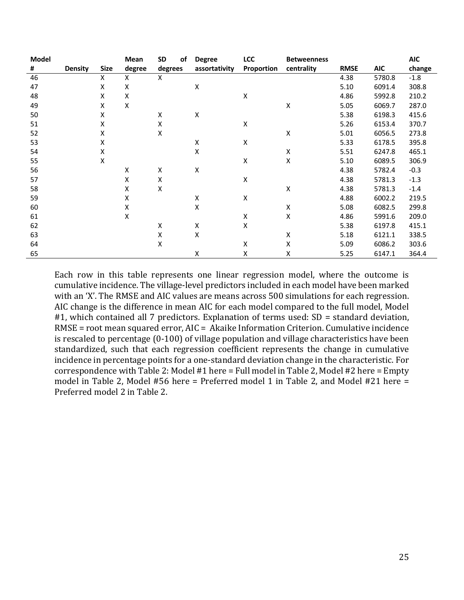| Model |                |             | Mean               | SD      | οf | <b>Degree</b>      | <b>LCC</b>         | <b>Betweenness</b> |             |            | <b>AIC</b> |
|-------|----------------|-------------|--------------------|---------|----|--------------------|--------------------|--------------------|-------------|------------|------------|
| #     | <b>Density</b> | <b>Size</b> | degree             | degrees |    | assortativity      | Proportion         | centrality         | <b>RMSE</b> | <b>AIC</b> | change     |
| 46    |                | X           | X                  | X       |    |                    |                    |                    | 4.38        | 5780.8     | $-1.8$     |
| 47    |                | X           | x                  |         |    | х                  |                    |                    | 5.10        | 6091.4     | 308.8      |
| 48    |                | X           | Χ                  |         |    |                    | X                  |                    | 4.86        | 5992.8     | 210.2      |
| 49    |                | x           | Χ                  |         |    |                    |                    | Χ                  | 5.05        | 6069.7     | 287.0      |
| 50    |                | X           |                    | Χ       |    | $\pmb{\mathsf{X}}$ |                    |                    | 5.38        | 6198.3     | 415.6      |
| 51    |                | Χ           |                    | Χ       |    |                    | х                  |                    | 5.26        | 6153.4     | 370.7      |
| 52    |                | x           |                    | Χ       |    |                    |                    | Χ                  | 5.01        | 6056.5     | 273.8      |
| 53    |                | x           |                    |         |    | Χ                  | Χ                  |                    | 5.33        | 6178.5     | 395.8      |
| 54    |                | Χ           |                    |         |    | Χ                  |                    | Χ                  | 5.51        | 6247.8     | 465.1      |
| 55    |                | X           |                    |         |    |                    | X                  | Χ                  | 5.10        | 6089.5     | 306.9      |
| 56    |                |             | Χ                  | Χ       |    | Χ                  |                    |                    | 4.38        | 5782.4     | $-0.3$     |
| 57    |                |             | Χ                  | Χ       |    |                    | $\pmb{\mathsf{X}}$ |                    | 4.38        | 5781.3     | $-1.3$     |
| 58    |                |             | X                  | Χ       |    |                    |                    | Χ                  | 4.38        | 5781.3     | $-1.4$     |
| 59    |                |             | Χ                  |         |    | Χ                  | X                  |                    | 4.88        | 6002.2     | 219.5      |
| 60    |                |             | X                  |         |    | X                  |                    | x                  | 5.08        | 6082.5     | 299.8      |
| 61    |                |             | $\pmb{\mathsf{X}}$ |         |    |                    | $\pmb{\mathsf{X}}$ | Χ                  | 4.86        | 5991.6     | 209.0      |
| 62    |                |             |                    | x       |    | x                  | Χ                  |                    | 5.38        | 6197.8     | 415.1      |
| 63    |                |             |                    | Χ       |    | Χ                  |                    | x                  | 5.18        | 6121.1     | 338.5      |
| 64    |                |             |                    | Χ       |    |                    | х                  | Χ                  | 5.09        | 6086.2     | 303.6      |
| 65    |                |             |                    |         |    | Χ                  | Χ                  | Χ                  | 5.25        | 6147.1     | 364.4      |

Each row in this table represents one linear regression model, where the outcome is cumulative incidence. The village-level predictors included in each model have been marked with an 'X'. The RMSE and AIC values are means across 500 simulations for each regression. AIC change is the difference in mean AIC for each model compared to the full model, Model #1, which contained all 7 predictors. Explanation of terms used:  $SD =$  standard deviation,  $RMSE = root mean squared error, AIC = Akaike Information Criterion. Cumulative incidence$ is rescaled to percentage (0-100) of village population and village characteristics have been standardized, such that each regression coefficient represents the change in cumulative incidence in percentage points for a one-standard deviation change in the characteristic. For correspondence with Table 2: Model #1 here = Full model in Table 2, Model #2 here = Empty model in Table 2, Model #56 here = Preferred model 1 in Table 2, and Model #21 here = Preferred model 2 in Table 2.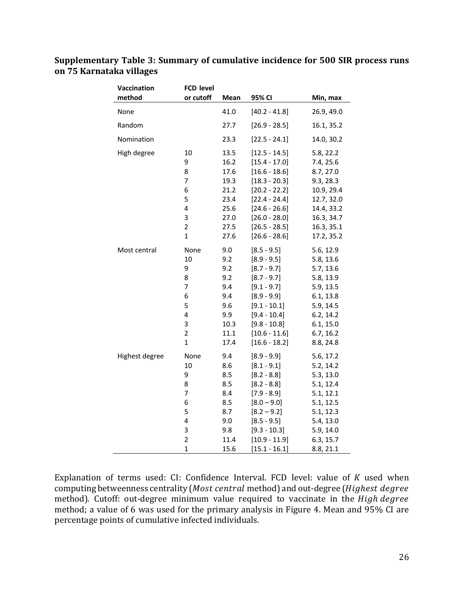| Vaccination    | <b>FCD level</b>        |      |                 |            |
|----------------|-------------------------|------|-----------------|------------|
| method         | or cutoff               | Mean | 95% CI          | Min, max   |
| None           |                         | 41.0 | $[40.2 - 41.8]$ | 26.9, 49.0 |
| Random         |                         | 27.7 | $[26.9 - 28.5]$ | 16.1, 35.2 |
| Nomination     |                         | 23.3 | $[22.5 - 24.1]$ | 14.0, 30.2 |
| High degree    | 10                      | 13.5 | $[12.5 - 14.5]$ | 5.8, 22.2  |
|                | 9                       | 16.2 | $[15.4 - 17.0]$ | 7.4, 25.6  |
|                | 8                       | 17.6 | $[16.6 - 18.6]$ | 8.7, 27.0  |
|                | 7                       | 19.3 | $[18.3 - 20.3]$ | 9.3, 28.3  |
|                | 6                       | 21.2 | $[20.2 - 22.2]$ | 10.9, 29.4 |
|                | 5                       | 23.4 | $[22.4 - 24.4]$ | 12.7, 32.0 |
|                | 4                       | 25.6 | $[24.6 - 26.6]$ | 14.4, 33.2 |
|                | 3                       | 27.0 | $[26.0 - 28.0]$ | 16.3, 34.7 |
|                | $\overline{2}$          | 27.5 | $[26.5 - 28.5]$ | 16.3, 35.1 |
|                | $\mathbf{1}$            | 27.6 | $[26.6 - 28.6]$ | 17.2, 35.2 |
| Most central   | None                    | 9.0  | $[8.5 - 9.5]$   | 5.6, 12.9  |
|                | 10                      | 9.2  | $[8.9 - 9.5]$   | 5.8, 13.6  |
|                | 9                       | 9.2  | $[8.7 - 9.7]$   | 5.7, 13.6  |
|                | 8                       | 9.2  | $[8.7 - 9.7]$   | 5.8, 13.9  |
|                | $\overline{7}$          | 9.4  | $[9.1 - 9.7]$   | 5.9, 13.5  |
|                | 6                       | 9.4  | $[8.9 - 9.9]$   | 6.1, 13.8  |
|                | 5                       | 9.6  | $[9.1 - 10.1]$  | 5.9, 14.5  |
|                | 4                       | 9.9  | $[9.4 - 10.4]$  | 6.2, 14.2  |
|                | 3                       | 10.3 | $[9.8 - 10.8]$  | 6.1, 15.0  |
|                | 2                       | 11.1 | $[10.6 - 11.6]$ | 6.7, 16.2  |
|                | $\mathbf 1$             | 17.4 | $[16.6 - 18.2]$ | 8.8, 24.8  |
| Highest degree | None                    | 9.4  | $[8.9 - 9.9]$   | 5.6, 17.2  |
|                | 10                      | 8.6  | $[8.1 - 9.1]$   | 5.2, 14.2  |
|                | 9                       | 8.5  | $[8.2 - 8.8]$   | 5.3, 13.0  |
|                | 8                       | 8.5  | $[8.2 - 8.8]$   | 5.1, 12.4  |
|                | 7                       | 8.4  | $[7.9 - 8.9]$   | 5.1, 12.1  |
|                | 6                       | 8.5  | $[8.0 - 9.0]$   | 5.1, 12.5  |
|                | 5                       | 8.7  | $[8.2 - 9.2]$   | 5.1, 12.3  |
|                | 4                       | 9.0  | $[8.5 - 9.5]$   | 5.4, 13.0  |
|                | 3                       | 9.8  | $[9.3 - 10.3]$  | 5.9, 14.0  |
|                | $\overline{\mathbf{c}}$ | 11.4 | $[10.9 - 11.9]$ | 6.3, 15.7  |
|                | $\mathbf 1$             | 15.6 | $[15.1 - 16.1]$ | 8.8, 21.1  |

## **Supplementary Table 3: Summary of cumulative incidence for 500 SIR process runs on 75 Karnataka villages**

Explanation of terms used: CI: Confidence Interval. FCD level: value of  $K$  used when computing betweenness centrality (Most central method) and out-degree (Highest degree method). Cutoff: out-degree minimum value required to vaccinate in the High degree method; a value of 6 was used for the primary analysis in Figure 4. Mean and 95% CI are percentage points of cumulative infected individuals.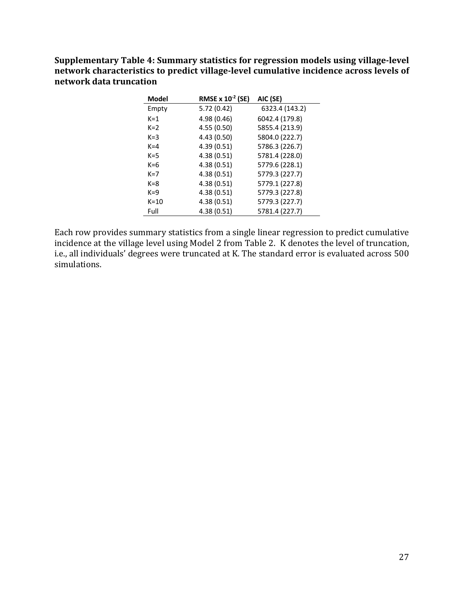Supplementary Table 4: Summary statistics for regression models using village-level network characteristics to predict village-level cumulative incidence across levels of **network data truncation** 

| <b>Model</b> | RMSE x 10 <sup>-2</sup> (SE) | AIC (SE)       |
|--------------|------------------------------|----------------|
| Empty        | 5.72(0.42)                   | 6323.4 (143.2) |
| $K = 1$      | 4.98 (0.46)                  | 6042.4 (179.8) |
| $K=2$        | 4.55 (0.50)                  | 5855.4 (213.9) |
| $K = 3$      | 4.43 (0.50)                  | 5804.0 (222.7) |
| $K = 4$      | 4.39 (0.51)                  | 5786.3 (226.7) |
| $K = 5$      | 4.38(0.51)                   | 5781.4 (228.0) |
| $K=6$        | 4.38(0.51)                   | 5779.6 (228.1) |
| $K=7$        | 4.38(0.51)                   | 5779.3 (227.7) |
| $K = 8$      | 4.38(0.51)                   | 5779.1 (227.8) |
| $K = 9$      | 4.38(0.51)                   | 5779.3 (227.8) |
| $K=10$       | 4.38(0.51)                   | 5779.3 (227.7) |
| Full         | 4.38(0.51)                   | 5781.4 (227.7) |

Each row provides summary statistics from a single linear regression to predict cumulative incidence at the village level using Model 2 from Table 2. K denotes the level of truncation, i.e., all individuals' degrees were truncated at K. The standard error is evaluated across 500 simulations.